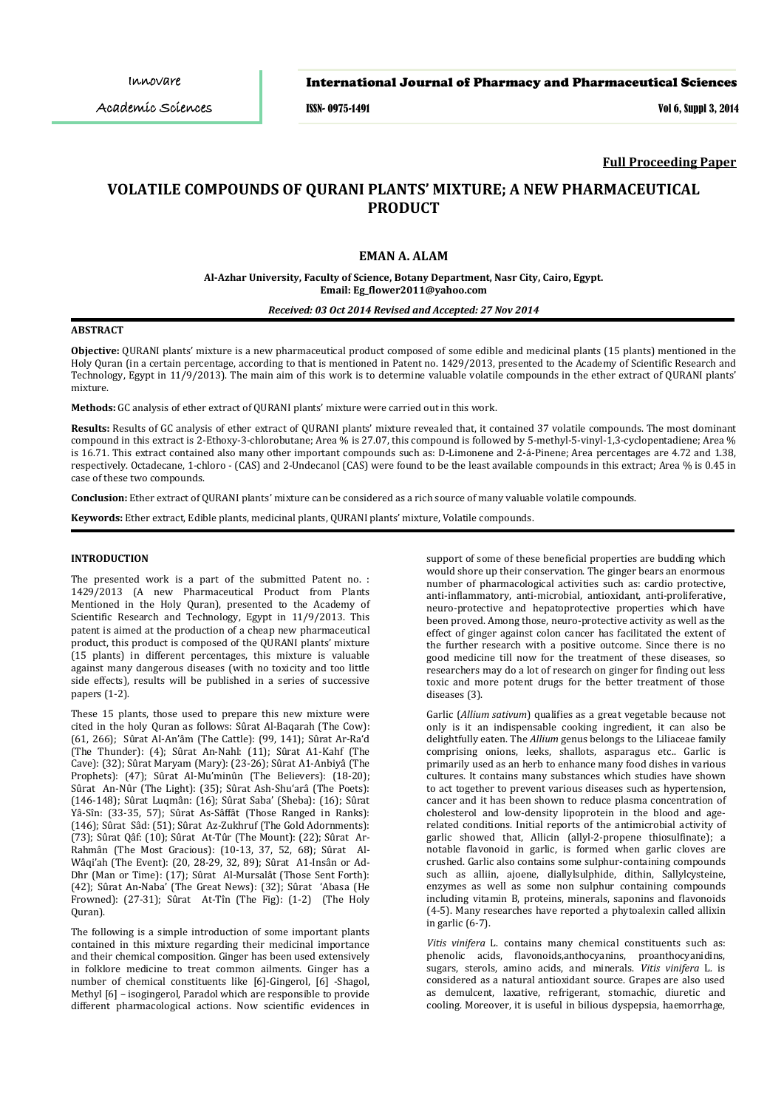Innovare

## International Journal of Pharmacy and Pharmaceutical Sciences

ISSN- 0975-1491 Vol 6, Suppl 3, 2014

### **Full Proceeding Paper**

# **VOLATILE COMPOUNDS OF QURANI PLANTS' MIXTURE; A NEW PHARMACEUTICAL PRODUCT**

## **EMAN A. ALAM**

**Al-Azhar University, Faculty of Science, Botany Department, Nasr City, Cairo, Egypt. Email: Eg\_flower2011@yahoo.com** 

*Received: 03 Oct 2014 Revised and Accepted: 27 Nov 2014*

#### **ABSTRACT**

**Objective:** QURANI plants' mixture is a new pharmaceutical product composed of some edible and medicinal plants (15 plants) mentioned in the Holy Quran (in a certain percentage, according to that is mentioned in Patent no. 1429/2013, presented to the Academy of Scientific Research and Technology, Egypt in 11/9/2013). The main aim of this work is to determine valuable volatile compounds in the ether extract of QURANI plants' mixture.

**Methods:** GC analysis of ether extract of QURANI plants' mixture were carried out in this work.

**Results:** Results of GC analysis of ether extract of QURANI plants' mixture revealed that, it contained 37 volatile compounds. The most dominant compound in this extract is 2-Ethoxy-3-chlorobutane; Area % is 27.07, this compound is followed by 5-methyl-5-vinyl-1,3-cyclopentadiene; Area % is 16.71. This extract contained also many other important compounds such as: D-Limonene and 2-á-Pinene; Area percentages are 4.72 and 1.38, respectively. Octadecane, 1-chloro - (CAS) and 2-Undecanol (CAS) were found to be the least available compounds in this extract; Area % is 0.45 in case of these two compounds.

**Conclusion:** Ether extract of QURANI plants' mixture can be considered as a rich source of many valuable volatile compounds.

**Keywords:** Ether extract, Edible plants, medicinal plants, QURANI plants' mixture, Volatile compounds.

#### **INTRODUCTION**

The presented work is a part of the submitted Patent no. : 1429/2013 (A new Pharmaceutical Product from Plants Mentioned in the Holy Quran), presented to the Academy of Scientific Research and Technology, Egypt in 11/9/2013. This patent is aimed at the production of a cheap new pharmaceutical product, this product is composed of the QURANI plants' mixture (15 plants) in different percentages, this mixture is valuable against many dangerous diseases (with no toxicity and too little side effects), results will be published in a series of successive papers (1-2).

These 15 plants, those used to prepare this new mixture were cited in the holy Quran as follows: Sûrat Al-Baqarah (The Cow): (61, 266); Sûrat AI-An'âm (The Cattle): (99, 141); Sûrat Ar-Ra'd (The Thunder): (4); Sûrat An-Nahl: (11); Sûrat A1-Kahf (The Cave): (32); Sûrat Maryam (Mary): (23-26); Sûrat A1-Anbiyâ (The Prophets): (47); Sûrat Al-Mu'minûn (The Believers): (18-20); Sûrat An-Nûr (The Light): (35); Sûrat Ash-Shu'arâ (The Poets): (146-148); Sûrat Luqmân: (16); Sûrat Saba' (Sheba): (16); Sûrat Yâ-Sîn: (33-35, 57); Sûrat As-Sâffât (Those Ranged in Ranks): (146); Sûrat Sâd: (51); Sûrat Az-Zukhruf (The Gold Adornments): (73); Sûrat Qâf: (10); Sûrat At-Tûr (The Mount): (22); Sûrat Ar-Rahmân (The Most Gracious): (10-13, 37, 52, 68); Sûrat Al-Wâqi'ah (The Event): (20, 28-29, 32, 89); Sûrat A1-Insân or Ad-Dhr (Man or Time): (17); Sûrat Al-Mursalât (Those Sent Forth): (42); Sûrat An-Naba' (The Great News): (32); Sûrat 'Abasa (He Frowned): (27-31); Sûrat At-Tîn (The Fig): (1-2) (The Holy Quran).

The following is a simple introduction of some important plants contained in this mixture regarding their medicinal importance and their chemical composition. Ginger has been used extensively in folklore medicine to treat common ailments. Ginger has a number of chemical constituents like [6]-Gingerol, [6] -Shagol, Methyl [6] – isogingerol, Paradol which are responsible to provide different pharmacological actions. Now scientific evidences in support of some of these beneficial properties are budding which would shore up their conservation. The ginger bears an enormous number of pharmacological activities such as: cardio protective, anti-inflammatory, anti-microbial, antioxidant, anti-proliferative, neuro-protective and hepatoprotective properties which have been proved. Among those, neuro-protective activity as well as the effect of ginger against colon cancer has facilitated the extent of the further research with a positive outcome. Since there is no good medicine till now for the treatment of these diseases, so researchers may do a lot of research on ginger for finding out less toxic and more potent drugs for the better treatment of those diseases (3).

Garlic (*Allium sativum*) qualifies as a great vegetable because not only is it an indispensable cooking ingredient, it can also be delightfully eaten. The *Allium* genus belongs to the Liliaceae family comprising onions, leeks, shallots, asparagus etc.. Garlic is primarily used as an herb to enhance many food dishes in various cultures. It contains many substances which studies have shown to act together to prevent various diseases such as hypertension, cancer and it has been shown to reduce plasma concentration of cholesterol and low-density lipoprotein in the blood and agerelated conditions. Initial reports of the antimicrobial activity of garlic showed that, Allicin (allyl-2-propene thiosulfinate); a notable flavonoid in garlic, is formed when garlic cloves are crushed. Garlic also contains some sulphur-containing compounds such as alliin, ajoene, diallylsulphide, dithin, Sallylcysteine, enzymes as well as some non sulphur containing compounds including vitamin B, proteins, minerals, saponins and flavonoids (4-5). Many researches have reported a phytoalexin called allixin in garlic (6-7).

*Vitis vinifera* L. contains many chemical constituents such as: phenolic acids, flavonoids,anthocyanins, proanthocyanidins, sugars, sterols, amino acids, and minerals. *Vitis vinifera* L*.* is considered as a natural antioxidant source. Grapes are also used as demulcent, laxative, refrigerant, stomachic, diuretic and cooling. Moreover, it is useful in bilious dyspepsia, haemorrhage,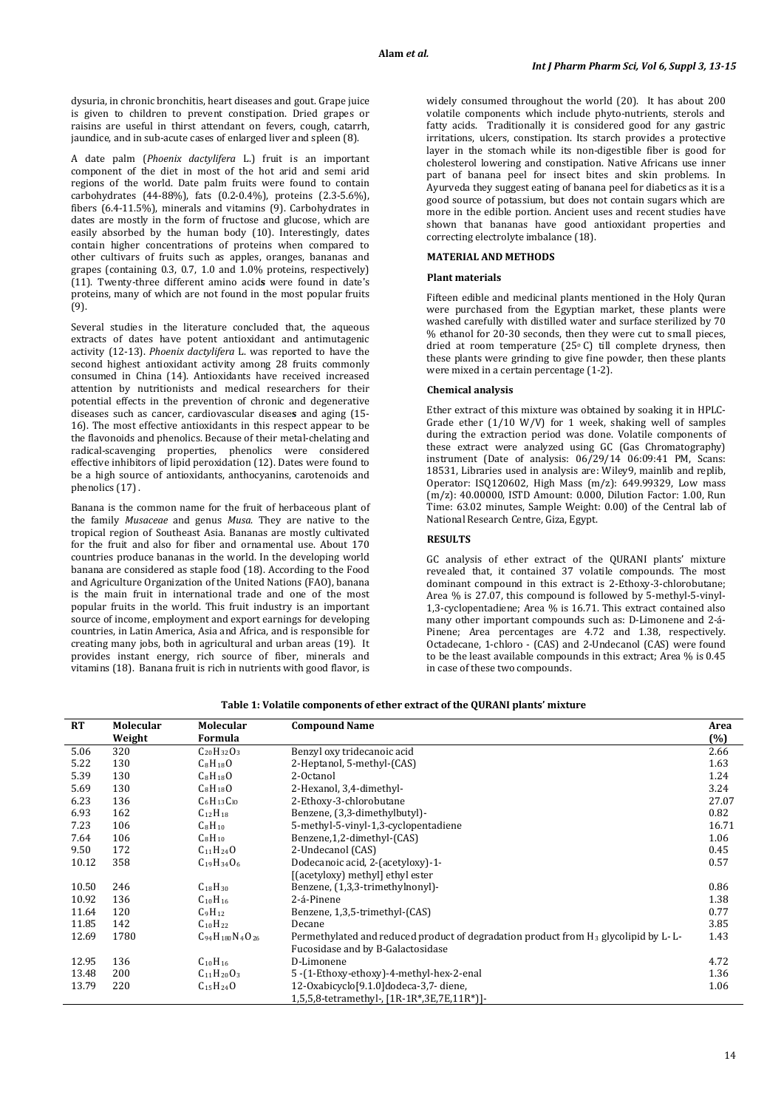dysuria, in chronic bronchitis, heart diseases and gout. Grape juice is given to children to prevent constipation. Dried grapes or raisins are useful in thirst attendant on fevers, cough, catarrh, jaundice, and in sub-acute cases of enlarged liver and spleen (8).

A date palm (*Phoenix dactylifera* L.) fruit is an important component of the diet in most of the hot arid and semi arid regions of the world. Date palm fruits were found to contain carbohydrates (44-88%), fats (0.2-0.4%), proteins (2.3-5.6%), fibers (6.4-11.5%), minerals and vitamins (9). Carbohydrates in dates are mostly in the form of fructose and glucose, which are easily absorbed by the human body (10). Interestingly, dates contain higher concentrations of proteins when compared to other cultivars of fruits such as apples, oranges, bananas and grapes (containing 0.3, 0.7, 1.0 and 1.0% proteins, respectively) (11). Twenty-three different [amino acid](http://www.scialert.net/asci/result.php?searchin=Keywords&cat=&ascicat=ALL&Submit=Search&keyword=amino+acid)**s** were found in date's proteins, many of which are not found in the most popular fruits (9).

Several studies in the literature concluded that, the aqueous extracts of dates have potent antioxidant and antimutagenic activity (12-13). *Phoenix dactylifera* L. was reported to have the second highest [antioxidant activity](http://www.scialert.net/asci/result.php?searchin=Keywords&cat=&ascicat=ALL&Submit=Search&keyword=antioxidant+activity) among 28 fruits commonly consumed in China (14). Antioxidants have received increased attention by nutritionists and medical researchers for their potential effects in the prevention of chronic and degenerative diseases such as cancer, [cardiovascular disease](http://www.scialert.net/asci/result.php?searchin=Keywords&cat=&ascicat=ALL&Submit=Search&keyword=cardiovascular+disease)**s** and aging (15- 16). The most effective antioxidants in this respect appear to be the flavonoids and phenolics. Because of their metal-chelating and radical-scavenging properties, phenolics were considered effective inhibitors o[f lipid peroxidation](http://www.scialert.net/asci/result.php?searchin=Keywords&cat=&ascicat=ALL&Submit=Search&keyword=lipid+peroxidation) (12). Dates were found to be a high source of antioxidants, anthocyanins, carotenoids and phenolics (17) .

Banana is the common name for the fruit of herbaceous plant of the family *Musaceae* and genus *Musa*. They are native to the tropical region of Southeast Asia. Bananas are mostly cultivated for the fruit and also for fiber and ornamental use. About 170 countries produce bananas in the world. In the developing world banana are considered as staple food (18). According to the Food and Agriculture Organization of the United Nations (FAO), banana is the main fruit in international trade and one of the most popular fruits in the world. This fruit industry is an important source of income, employment and export earnings for developing countries, in Latin America, Asia and Africa, and is responsible for creating many jobs, both in agricultural and urban areas (19). It provides instant energy, rich source of fiber, minerals and vitamins (18). Banana fruit is rich in nutrients with good flavor, is widely consumed throughout the world (20). It has about 200 volatile components which include phyto-nutrients, sterols and fatty acids. Traditionally it is considered good for any gastric irritations, ulcers, constipation. Its starch provides a protective layer in the stomach while its non-digestible fiber is good for cholesterol lowering and constipation. Native Africans use inner part of banana peel for insect bites and skin problems. In Ayurveda they suggest eating of banana peel for diabetics as it is a good source of potassium, but does not contain sugars which are more in the edible portion. Ancient uses and recent studies have shown that bananas have good antioxidant properties and correcting electrolyte imbalance (18).

## **MATERIAL AND METHODS**

#### **Plant materials**

Fifteen edible and medicinal plants mentioned in the Holy Quran were purchased from the Egyptian market, these plants were washed carefully with distilled water and surface sterilized by 70 % ethanol for 20-30 seconds, then they were cut to small pieces, dried at room temperature (25<sup>о</sup> C) till complete dryness, then these plants were grinding to give fine powder, then these plants were mixed in a certain percentage (1-2).

#### **Chemical analysis**

Ether extract of this mixture was obtained by soaking it in HPLC-Grade ether (1/10 W/V) for 1 week, shaking well of samples during the extraction period was done. Volatile components of these extract were analyzed using GC (Gas Chromatography) instrument (Date of analysis: 06/29/14 06:09:41 PM, Scans: 18531, Libraries used in analysis are: Wiley9, mainlib and replib, Operator: ISQ120602, High Mass (m/z): 649.99329, Low mass (m/z): 40.00000, ISTD Amount: 0.000, Dilution Factor: 1.00, Run Time: 63.02 minutes, Sample Weight: 0.00) of the Central lab of National Research Centre, Giza, Egypt.

### **RESULTS**

GC analysis of ether extract of the QURANI plants' mixture revealed that, it contained 37 volatile compounds. The most dominant compound in this extract is 2-Ethoxy-3-chlorobutane; Area % is 27.07, this compound is followed by 5-methyl-5-vinyl-1,3-cyclopentadiene; Area % is 16.71. This extract contained also many other important compounds such as: D-Limonene and 2-á-Pinene; Area percentages are 4.72 and 1.38, respectively. Octadecane, 1-chloro - (CAS) and 2-Undecanol (CAS) were found to be the least available compounds in this extract; Area % is 0.45 in case of these two compounds.

| Table 1: Volatile components of ether extract of the QURANI plants' mixture |  |  |
|-----------------------------------------------------------------------------|--|--|
|-----------------------------------------------------------------------------|--|--|

| RT    | Molecular | Molecular                  | <b>Compound Name</b>                                                                            | Area  |
|-------|-----------|----------------------------|-------------------------------------------------------------------------------------------------|-------|
|       | Weight    | Formula                    |                                                                                                 | (%)   |
| 5.06  | 320       | $C_{20}H_{32}O_3$          | Benzyl oxy tridecanoic acid                                                                     | 2.66  |
| 5.22  | 130       | $C_8H_{18}O$               | 2-Heptanol, 5-methyl-(CAS)                                                                      | 1.63  |
| 5.39  | 130       | $C_8H_{18}O$               | 2-Octanol                                                                                       | 1.24  |
| 5.69  | 130       | $C_8H_{18}O$               | 2-Hexanol, 3,4-dimethyl-                                                                        | 3.24  |
| 6.23  | 136       | $C_6H_{13}C_{10}$          | 2-Ethoxy-3-chlorobutane                                                                         | 27.07 |
| 6.93  | 162       | $C_{12}H_{18}$             | Benzene, (3,3-dimethylbutyl)-                                                                   | 0.82  |
| 7.23  | 106       | $C_8H_{10}$                | 5-methyl-5-vinyl-1,3-cyclopentadiene                                                            | 16.71 |
| 7.64  | 106       | $C_8H_{10}$                | Benzene, 1, 2-dimethyl-(CAS)                                                                    | 1.06  |
| 9.50  | 172       | $C_{11}H_{24}O$            | 2-Undecanol (CAS)                                                                               | 0.45  |
| 10.12 | 358       | $C_{19}H_{34}O_6$          | Dodecanoic acid, 2-(acetyloxy)-1-                                                               | 0.57  |
|       |           |                            | [(acetyloxy) methyl] ethyl ester                                                                |       |
| 10.50 | 246       | $C_{18}H_{30}$             | Benzene, (1,3,3-trimethylnonyl)-                                                                | 0.86  |
| 10.92 | 136       | $C_{10}H_{16}$             | 2-á-Pinene                                                                                      | 1.38  |
| 11.64 | 120       | $C_9H_{12}$                | Benzene, 1,3,5-trimethyl-(CAS)                                                                  | 0.77  |
| 11.85 | 142       | $C_{10}H_{22}$             | Decane                                                                                          | 3.85  |
| 12.69 | 1780      | $C_{94}H_{180}N_{4}O_{26}$ | Permethylated and reduced product of degradation product from H <sub>3</sub> glycolipid by L-L- | 1.43  |
|       |           |                            | Fucosidase and by B-Galactosidase                                                               |       |
| 12.95 | 136       | $C_{10}H_{16}$             | D-Limonene                                                                                      | 4.72  |
| 13.48 | 200       | $C_{11}H_{20}O_3$          | 5-(1-Ethoxy-ethoxy)-4-methyl-hex-2-enal                                                         | 1.36  |
| 13.79 | 220       | $C_{15}H_{24}O$            | 12-Oxabicyclo[9.1.0]dodeca-3,7-diene,                                                           | 1.06  |
|       |           |                            | 1,5,5,8-tetramethyl-, [1R-1R*,3E,7E,11R*)]-                                                     |       |